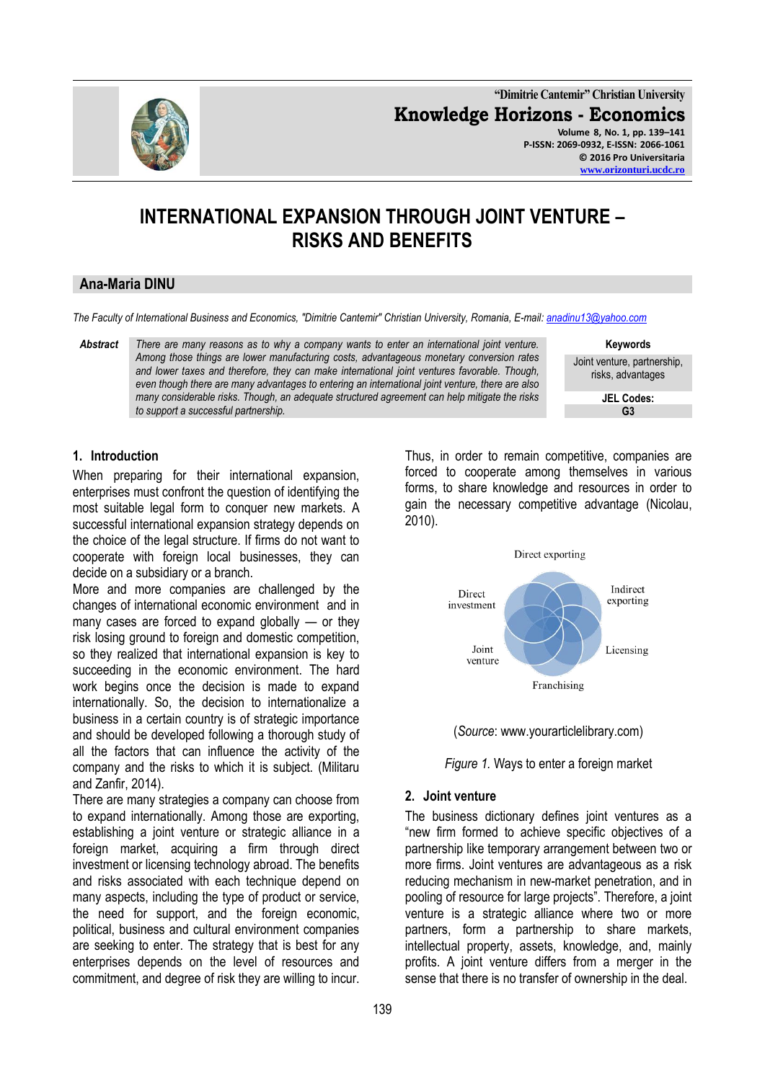

**"Dimitrie Cantemir" Christian University Knowledge Horizons - Economics Volume 8, No. 1, pp. 139–141 P-ISSN: 2069-0932, E-ISSN: 2066-1061 © 2016 Pro Universitaria**

#### **[www.orizonturi.ucdc.ro](http://www.orizonturi.ucdc.ro/)**

# **INTERNATIONAL EXPANSION THROUGH JOINT VENTURE – RISKS AND BENEFITS**

# **Ana-Maria DINU**

*The Faculty of International Business and Economics, "Dimitrie Cantemir" Christian University, Romania, E-mail[: anadinu13@yahoo.com](mailto:anadinu13@yahoo.com)*

*Abstract There are many reasons as to why a company wants to enter an international joint venture. Among those things are lower manufacturing costs, advantageous monetary conversion rates and lower taxes and therefore, they can make international joint ventures favorable. Though, even though there are many advantages to entering an international joint venture, there are also many considerable risks. Though, an adequate structured agreement can help mitigate the risks to support a successful partnership.*

**Keywords** Joint venture, partnership, risks, advantages

> **JEL Codes: G3**

# **1. Introduction**

When preparing for their international expansion, enterprises must confront the question of identifying the most suitable legal form to conquer new markets. A successful international expansion strategy depends on the choice of the legal structure. If firms do not want to cooperate with foreign local businesses, they can decide on a subsidiary or a branch.

More and more companies are challenged by the changes of international economic environment and in many cases are forced to expand globally — or they risk losing ground to foreign and domestic competition, so they realized that international expansion is key to succeeding in the economic environment. The hard work begins once the decision is made to expand internationally. So, the decision to internationalize a business in a certain country is of strategic importance and should be developed following a thorough study of all the factors that can influence the activity of the company and the risks to which it is subject. (Militaru and Zanfir, 2014).

There are many strategies a company can choose from to expand internationally. Among those are exporting, establishing a joint venture or strategic alliance in a foreign market, acquiring a firm through direct investment or licensing technology abroad. The benefits and risks associated with each technique depend on many aspects, including the type of product or service, the need for support, and the foreign economic, political, business and cultural environment companies are seeking to enter. The strategy that is best for any enterprises depends on the level of resources and commitment, and degree of risk they are willing to incur.

Thus, in order to remain competitive, companies are forced to cooperate among themselves in various forms, to share knowledge and resources in order to gain the necessary competitive advantage (Nicolau, 2010).







### **2. Joint venture**

The business dictionary defines joint ventures as a ―new firm formed to achieve specific objectives of a partnership like temporary arrangement between two or more firms. Joint ventures are advantageous as a risk reducing mechanism in new-market penetration, and in pooling of resource for large projects". Therefore, a joint venture is a strategic alliance where two or more partners, form a partnership to share markets, intellectual property, assets, knowledge, and, mainly profits. A joint venture differs from a merger in the sense that there is no transfer of ownership in the deal.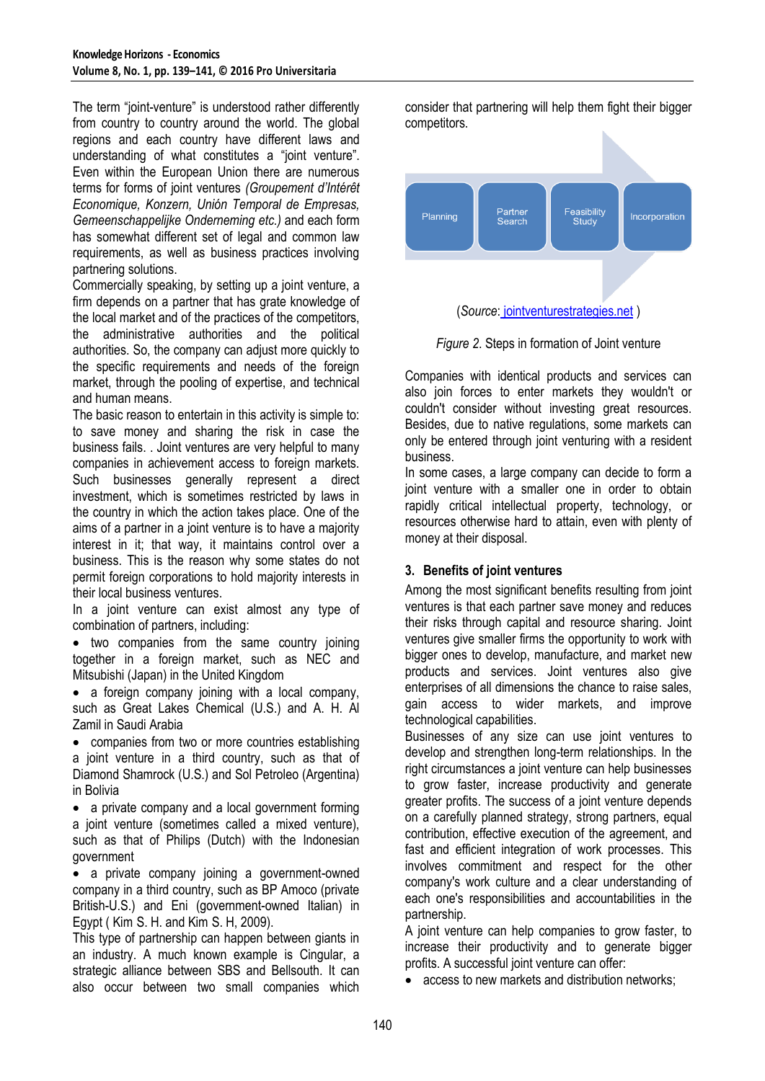The term "joint-venture" is understood rather differently from country to country around the world. The global regions and each country have different laws and understanding of what constitutes a "ioint venture". Even within the European Union there are numerous terms for forms of joint ventures *(Groupement d'Intérêt Economique, Konzern, Unión Temporal de Empresas, Gemeenschappelijke Onderneming etc.)* and each form has somewhat different set of legal and common law requirements, as well as business practices involving partnering solutions.

Commercially speaking, by setting up a joint venture, a firm depends on a partner that has grate knowledge of the local market and of the practices of the competitors, the administrative authorities and the political authorities. So, the company can adjust more quickly to the specific requirements and needs of the foreign market, through the pooling of expertise, and technical and human means.

The basic reason to entertain in this activity is simple to: to save money and sharing the risk in case the business fails. . Joint ventures are very helpful to many companies in achievement access to foreign markets. Such businesses generally represent a direct investment, which is sometimes restricted by laws in the country in which the action takes place. One of the aims of a partner in a joint venture is to have a majority interest in it; that way, it maintains control over a business. This is the reason why some states do not permit foreign corporations to hold majority interests in their local business ventures.

In a joint venture can exist almost any type of combination of partners, including:

• two companies from the same country joining together in a foreign market, such as NEC and Mitsubishi (Japan) in the United Kingdom

• a foreign company joining with a local company, such as Great Lakes Chemical (U.S.) and A. H. Al Zamil in Saudi Arabia

 companies from two or more countries establishing a joint venture in a third country, such as that of Diamond Shamrock (U.S.) and Sol Petroleo (Argentina) in Bolivia

• a private company and a local government forming a joint venture (sometimes called a mixed venture), such as that of Philips (Dutch) with the Indonesian government

 a private company joining a government-owned company in a third country, such as BP Amoco (private British-U.S.) and Eni (government-owned Italian) in Egypt ( [Kim](http://eu.wiley.com/WileyCDA/Section/id-302479.html?query=Suk+H.+Kim) S. H. and [Kim](http://eu.wiley.com/WileyCDA/Section/id-302479.html?query=Seung+H.+Kim) S. H, 2009).

This type of partnership can happen between giants in an industry. A much known example is Cingular, a strategic alliance between SBS and Bellsouth. It can also occur between two small companies which

consider that partnering will help them fight their bigger competitors.





Companies with identical products and services can also join forces to enter markets they wouldn't or couldn't consider without investing great resources. Besides, due to native regulations, some markets can only be entered through joint venturing with a resident business.

In some cases, a large company can decide to form a joint venture with a smaller one in order to obtain rapidly critical intellectual property, technology, or resources otherwise hard to attain, even with plenty of money at their disposal.

# **3. Benefits of joint ventures**

Among the most significant benefits resulting from joint ventures is that each partner save money and reduces their risks through capital and resource sharing. Joint ventures give smaller firms the opportunity to work with bigger ones to develop, manufacture, and market new products and services. Joint ventures also give enterprises of all dimensions the chance to raise sales, gain access to wider markets, and improve technological capabilities.

Businesses of any size can use joint ventures to develop and strengthen long-term relationships. In the right circumstances a joint venture can help businesses to grow faster, increase productivity and generate greater profits. The success of a joint venture depends on a carefully planned strategy, strong partners, equal contribution, effective execution of the agreement, and fast and efficient integration of work processes. This involves commitment and respect for the other company's work culture and a clear understanding of each one's responsibilities and accountabilities in the partnership.

A joint venture can help companies to grow faster, to increase their productivity and to generate bigger profits. A successful joint venture can offer:

• access to new markets and distribution networks: